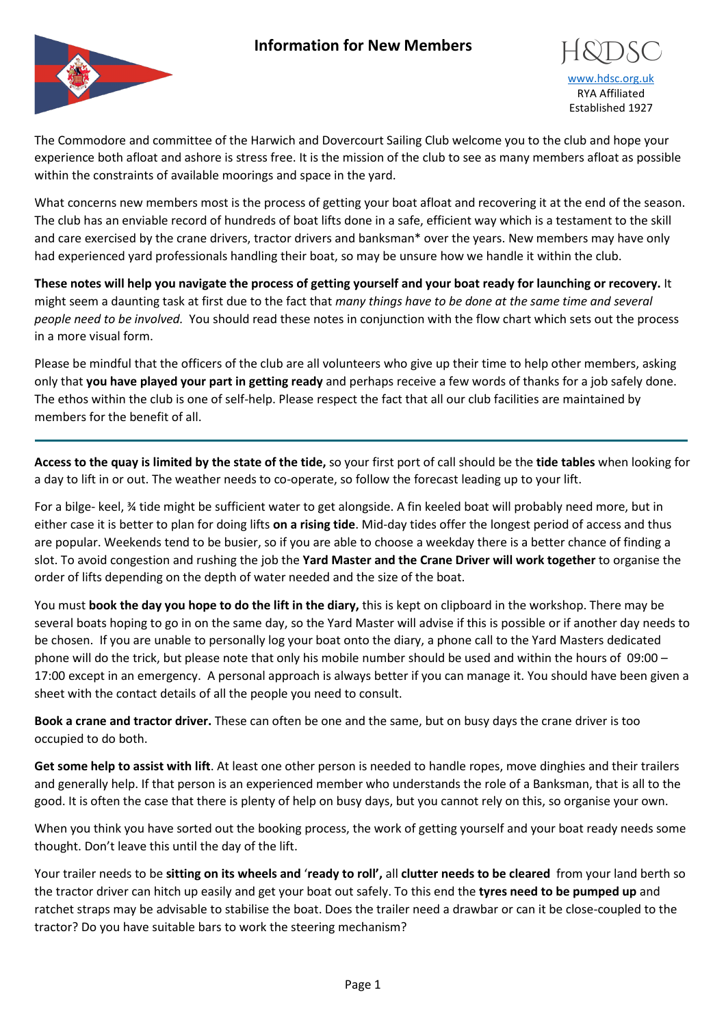## **Information for New Members**



## [www.hdsc.org.uk](http://www.hdsc.org.uk/) RYA Affiliated Established 1927

The Commodore and committee of the Harwich and Dovercourt Sailing Club welcome you to the club and hope your experience both afloat and ashore is stress free. It is the mission of the club to see as many members afloat as possible within the constraints of available moorings and space in the yard.

What concerns new members most is the process of getting your boat afloat and recovering it at the end of the season. The club has an enviable record of hundreds of boat lifts done in a safe, efficient way which is a testament to the skill and care exercised by the crane drivers, tractor drivers and banksman\* over the years. New members may have only had experienced yard professionals handling their boat, so may be unsure how we handle it within the club.

**These notes will help you navigate the process of getting yourself and your boat ready for launching or recovery.** It might seem a daunting task at first due to the fact that *many things have to be done at the same time and several people need to be involved.* You should read these notes in conjunction with the flow chart which sets out the process in a more visual form.

Please be mindful that the officers of the club are all volunteers who give up their time to help other members, asking only that **you have played your part in getting ready** and perhaps receive a few words of thanks for a job safely done. The ethos within the club is one of self-help. Please respect the fact that all our club facilities are maintained by members for the benefit of all.

**Access to the quay is limited by the state of the tide,** so your first port of call should be the **tide tables** when looking for a day to lift in or out. The weather needs to co-operate, so follow the forecast leading up to your lift.

For a bilge- keel, ¾ tide might be sufficient water to get alongside. A fin keeled boat will probably need more, but in either case it is better to plan for doing lifts **on a rising tide**. Mid-day tides offer the longest period of access and thus are popular. Weekends tend to be busier, so if you are able to choose a weekday there is a better chance of finding a slot. To avoid congestion and rushing the job the **Yard Master and the Crane Driver will work together** to organise the order of lifts depending on the depth of water needed and the size of the boat.

You must **book the day you hope to do the lift in the diary,** this is kept on clipboard in the workshop. There may be several boats hoping to go in on the same day, so the Yard Master will advise if this is possible or if another day needs to be chosen. If you are unable to personally log your boat onto the diary, a phone call to the Yard Masters dedicated phone will do the trick, but please note that only his mobile number should be used and within the hours of 09:00 – 17:00 except in an emergency. A personal approach is always better if you can manage it. You should have been given a sheet with the contact details of all the people you need to consult.

**Book a crane and tractor driver.** These can often be one and the same, but on busy days the crane driver is too occupied to do both.

**Get some help to assist with lift**. At least one other person is needed to handle ropes, move dinghies and their trailers and generally help. If that person is an experienced member who understands the role of a Banksman, that is all to the good. It is often the case that there is plenty of help on busy days, but you cannot rely on this, so organise your own.

When you think you have sorted out the booking process, the work of getting yourself and your boat ready needs some thought. Don't leave this until the day of the lift.

Your trailer needs to be **sitting on its wheels and** '**ready to roll',** all **clutter needs to be cleared** from your land berth so the tractor driver can hitch up easily and get your boat out safely. To this end the **tyres need to be pumped up** and ratchet straps may be advisable to stabilise the boat. Does the trailer need a drawbar or can it be close-coupled to the tractor? Do you have suitable bars to work the steering mechanism?